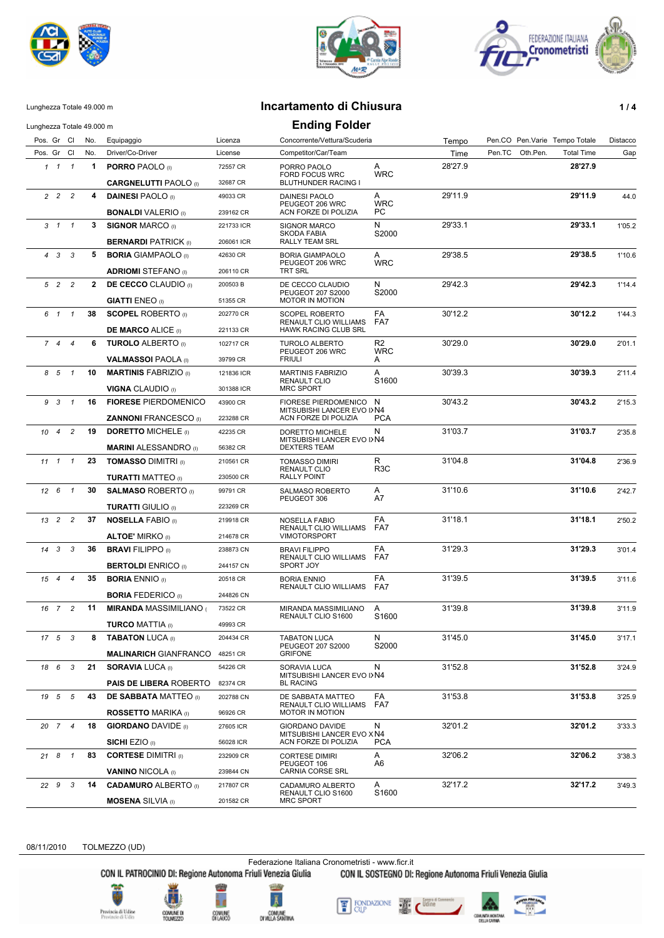





## Lunghezza Totale 49.000 m **Incartamento di Chiusura 1 / 4**

| Lunghezza Totale 49.000 m |                     |                              |                                                                |            | <b>Ending Folder</b>                                                         |                  |         |                               |                   |          |
|---------------------------|---------------------|------------------------------|----------------------------------------------------------------|------------|------------------------------------------------------------------------------|------------------|---------|-------------------------------|-------------------|----------|
| Pos. Gr Cl                |                     | No.                          | Equipaggio                                                     | Licenza    | Concorrente/Vettura/Scuderia                                                 |                  | Tempo   | Pen.CO Pen.Varie Tempo Totale |                   | Distacco |
| Pos. Gr Cl                |                     | No.                          | Driver/Co-Driver                                               | License    | Competitor/Car/Team                                                          |                  | Time    | Pen.TC<br>Oth.Pen.            | <b>Total Time</b> | Gap      |
|                           | $1 \quad 1 \quad 1$ | $\mathbf 1$                  | <b>PORRO PAOLO</b> (I)                                         | 72557 CR   | PORRO PAOLO<br><b>FORD FOCUS WRC</b>                                         | A<br><b>WRC</b>  | 28'27.9 |                               | 28'27.9           |          |
|                           |                     |                              | <b>CARGNELUTTI PAOLO</b> (I)                                   | 32687 CR   | BLUTHUNDER RACING I                                                          |                  |         |                               |                   |          |
| $2\quad 2\quad 2$         |                     | 4                            | <b>DAINESI PAOLO</b> (I)                                       | 49033 CR   | DAINESI PAOLO<br>PEUGEOT 206 WRC                                             | Α<br><b>WRC</b>  | 29'11.9 |                               | 29'11.9           | 44.0     |
|                           |                     |                              | <b>BONALDI</b> VALERIO (i)                                     | 239162 CR  | ACN FORZE DI POLIZIA                                                         | PC.              |         |                               |                   |          |
| $3 \quad 1 \quad 1$       |                     | 3                            | <b>SIGNOR MARCO (I)</b>                                        | 221733 ICR | <b>SIGNOR MARCO</b>                                                          | N<br>S2000       | 29'33.1 |                               | 29'33.1           | 1'05.2   |
|                           |                     |                              | <b>BERNARDI PATRICK (I)</b>                                    | 206061 ICR | SKODA FABIA<br>RALLY TEAM SRL                                                |                  |         |                               |                   |          |
| $4 \quad 3 \quad 3$       |                     | 5                            | <b>BORIA GIAMPAOLO</b> (I)                                     | 42630 CR   | <b>BORIA GIAMPAOLO</b><br>PEUGEOT 206 WRC                                    | Α<br><b>WRC</b>  | 29'38.5 |                               | 29'38.5           | 1'10.6   |
|                           |                     |                              | <b>ADRIOMI</b> STEFANO (I)                                     | 206110 CR  | TRT SRL                                                                      |                  |         |                               |                   |          |
| 5 2 2                     |                     |                              | 2 DE CECCO CLAUDIO (I)                                         | 200503B    | DE CECCO CLAUDIO                                                             | N                | 29'42.3 |                               | 29'42.3           | 1'14.4   |
|                           |                     |                              | <b>GIATTI ENEO</b> (I)                                         | 51355 CR   | PEUGEOT 207 S2000<br>MOTOR IN MOTION                                         | S2000            |         |                               |                   |          |
| 6 1 1                     |                     | 38                           | <b>SCOPEL ROBERTO</b> (i)                                      | 202770 CR  | <b>SCOPEL ROBERTO</b>                                                        | FA               | 30'12.2 |                               | 30'12.2           | 1'44.3   |
|                           |                     |                              | <b>DE MARCO ALICE (I)</b>                                      | 221133 CR  | RENAULT CLIO WILLIAMS<br>HAWK RACING CLUB SRL                                | FA7              |         |                               |                   |          |
| 744                       |                     | 6                            | <b>TUROLO ALBERTO</b> (I)                                      | 102717 CR  | <b>TUROLO ALBERTO</b>                                                        | R2               | 30'29.0 |                               | 30'29.0           | 2'01.1   |
|                           |                     |                              | <b>VALMASSOI PAOLA</b> (I)                                     | 39799 CR   | PEUGEOT 206 WRC<br><b>FRIULI</b>                                             | <b>WRC</b><br>A  |         |                               |                   |          |
| 8 5 1                     |                     | 10                           | <b>MARTINIS FABRIZIO (I)</b>                                   | 121836 ICR | <b>MARTINIS FABRIZIO</b>                                                     | A                | 30'39.3 |                               | 30'39.3           | 2'11.4   |
|                           |                     |                              | <b>VIGNA CLAUDIO (I)</b>                                       | 301388 ICR | RENAULT CLIO<br><b>MRC SPORT</b>                                             | S1600            |         |                               |                   |          |
| 9 3 1                     |                     | 16                           | <b>FIORESE PIERDOMENICO</b>                                    | 43900 CR   | FIORESE PIERDOMENICO N<br>MITSUBISHI LANCER EVO I>N4<br>ACN FORZE DI POLIZIA |                  | 30'43.2 |                               | 30'43.2           | 2'15.3   |
|                           |                     |                              | <b>ZANNONI FRANCESCO</b> (I)                                   | 223288 CR  |                                                                              | <b>PCA</b>       |         |                               |                   |          |
| $10 \quad 4$              | $\overline{c}$      | 19                           | <b>DORETTO MICHELE (I)</b>                                     | 42235 CR   | DORETTO MICHELE                                                              | N                | 31'03.7 |                               | 31'03.7           | 2'35.8   |
|                           |                     |                              | <b>MARINI ALESSANDRO</b> (I)                                   | 56382 CR   | MITSUBISHI LANCER EVO I>N4<br><b>DEXTERS TEAM</b>                            |                  |         |                               |                   |          |
| $11 \quad 1 \quad 1$      |                     | 23                           | <b>TOMASSO DIMITRI (I)</b>                                     | 210561 CR  | <b>TOMASSO DIMIRI</b>                                                        | R                | 31'04.8 |                               | 31'04.8           | 2'36.9   |
|                           |                     |                              | <b>TURATTI MATTEO</b> (I)                                      | 230500 CR  | RENAULT CLIO<br>RALLY POINT                                                  | R <sub>3</sub> C |         |                               |                   |          |
| $12 \quad 6 \quad 1$      |                     | 30                           | <b>SALMASO ROBERTO</b> (I)                                     | 99791 CR   | SALMASO ROBERTO                                                              | A                | 31'10.6 |                               | 31'10.6           | 2'42.7   |
|                           |                     |                              |                                                                | 223269 CR  | PEUGEOT 306                                                                  | A7               |         |                               |                   |          |
| 13 <sup>2</sup>           | $\overline{c}$      | 37                           | <b>TURATTI GIULIO</b> (I)<br><b>NOSELLA FABIO</b> (I)          | 219918 CR  |                                                                              | FA               | 31'18.1 |                               | 31'18.1           |          |
|                           |                     |                              |                                                                |            | NOSELLA FABIO<br>RENAULT CLIO WILLIAMS                                       | FA7              |         |                               |                   | 2'50.2   |
|                           |                     |                              | <b>ALTOE' MIRKO</b> (I)                                        | 214678 CR  | <b>VIMOTORSPORT</b>                                                          |                  |         |                               |                   |          |
| $14$ 3 3                  |                     | 36                           | <b>BRAVI FILIPPO (I)</b>                                       | 238873 CN  | <b>BRAVI FILIPPO</b><br>RENAULT CLIO WILLIAMS                                | FA<br>FA7        | 31'29.3 |                               | 31'29.3           | 3'01.4   |
|                           |                     |                              | <b>BERTOLDI ENRICO (i)</b>                                     | 244157 CN  | SPORT JOY                                                                    |                  |         |                               |                   |          |
| 15 4                      | $\overline{4}$      | 35<br><b>BORIA ENNIO</b> (I) | 20518 CR<br><b>BORIA ENNIO</b><br><b>RENAULT CLIO WILLIAMS</b> | FA<br>FA7  | 31'39.5                                                                      |                  | 31'39.5 | 3'11.6                        |                   |          |
|                           |                     |                              | <b>BORIA FEDERICO</b> (I)                                      | 244826 CN  |                                                                              |                  |         |                               |                   |          |
| 16 7 2                    |                     | 11                           | <b>MIRANDA MASSIMILIANO</b>                                    | 73522 CR   | MIRANDA MASSIMILIANO<br>RENAULT CLIO S1600                                   | A<br>S1600       | 31'39.8 |                               | 31'39.8           | 3'11.9   |
|                           |                     |                              | <b>TURCO MATTIA (I)</b>                                        | 49993 CR   |                                                                              |                  |         |                               |                   |          |
| $17 \quad 5 \quad 3$      |                     | 8                            | <b>TABATON LUCA (I)</b>                                        | 204434 CR  | <b>TABATON LUCA</b>                                                          | N<br>S2000       | 31'45.0 |                               | 31'45.0           | 3'17.1   |
|                           |                     |                              | <b>MALINARICH GIANFRANCO</b>                                   | 48251 CR   | PEUGEOT 207 S2000<br><b>GRIFONE</b>                                          |                  |         |                               |                   |          |
| 18 6 3                    |                     | 21                           | <b>SORAVIA LUCA (I)</b><br><b>PAIS DE LIBERA ROBERTO</b>       | 54226 CR   | SORAVIA LUCA<br>MITSUBISHI LANCER EVO I>N4<br><b>BL RACING</b>               | N                | 31'52.8 |                               | 31'52.8           | 3'24.9   |
|                           |                     |                              |                                                                | 82374 CR   |                                                                              |                  |         |                               |                   |          |
| 19 5 5                    |                     | 43                           | <b>DE SABBATA MATTEO</b> (I)                                   | 202788 CN  | DE SABBATA MATTEO<br>RENAULT CLIO WILLIAMS<br><b>MOTOR IN MOTION</b>         | FA<br>FA7        | 31'53.8 |                               | 31'53.8           | 3'25.9   |
|                           |                     |                              | <b>ROSSETTO MARIKA</b> (I)                                     | 96926 CR   |                                                                              |                  |         |                               |                   |          |
| 20 7 4                    |                     | 18                           | <b>GIORDANO DAVIDE</b> (I)<br>27605 ICR<br>SICHI EZIO (I)      |            | GIORDANO DAVIDE<br>MITSUBISHI LANCER EVO X N4<br>ACN FORZE DI POLIZIA        | N                | 32'01.2 |                               | 32'01.2           | 3'33.3   |
|                           |                     |                              |                                                                | 56028 ICR  |                                                                              | <b>PCA</b>       |         |                               |                   |          |
| 21 8 1                    |                     | 83                           | <b>CORTESE DIMITRI (I)</b>                                     | 232909 CR  | <b>CORTESE DIMIRI</b>                                                        | A                | 32'06.2 |                               | 32'06.2           | 3'38.3   |
|                           |                     |                              | <b>VANINO NICOLA (I)</b>                                       | 239844 CN  | PEUGEOT 106<br>CARNIA CORSE SRL                                              | A6               |         |                               |                   |          |
| 22 9                      | 3                   | 14                           | <b>CADAMURO ALBERTO (I)</b>                                    | 217807 CR  | CADAMURO ALBERTO                                                             | A                | 32'17.2 |                               | 32'17.2           | 3'49.3   |
|                           |                     |                              |                                                                |            | RENAULT CLIO S1600                                                           | S1600            |         |                               |                   |          |
|                           |                     |                              | <b>MOSENA</b> SILVIA (I)                                       | 201582 CR  | <b>MRC SPORT</b>                                                             |                  |         |                               |                   |          |

08/11/2010 TOLMEZZO (UD)

Federazione Italiana Cronometristi - www.ficr.it<br>CON IL PATROCINIO DI: Regione Autonoma Friuli Venezia Giulia CON IL SOSTEGNO DI: Regione Autonoma Friuli Venezia Giulia





æ

'n

COMUNE<br>DILAUCO





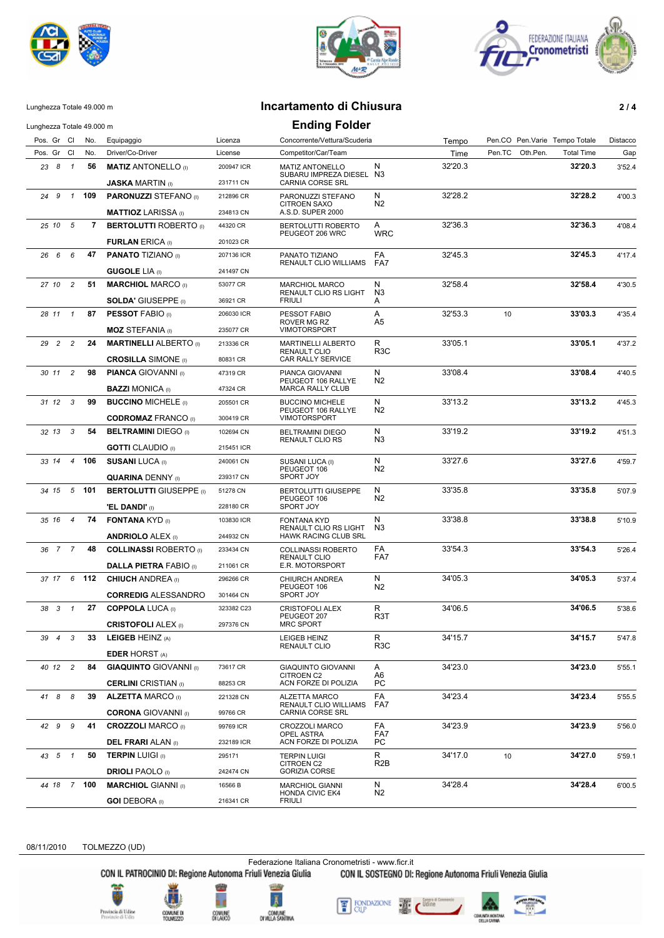





## Lunghezza Totale 49.000 m **Incartamento di Chiusura 2 / 4**

| Lunghezza Totale 49.000 m |                |         |                                                        |                         | <b>Ending Folder</b>                                                |                       |         |                               |                   |          |
|---------------------------|----------------|---------|--------------------------------------------------------|-------------------------|---------------------------------------------------------------------|-----------------------|---------|-------------------------------|-------------------|----------|
| Pos. Gr Cl                |                | No.     | Equipaggio                                             | Licenza                 | Concorrente/Vettura/Scuderia                                        |                       | Tempo   | Pen.CO Pen.Varie Tempo Totale |                   | Distacco |
| Pos. Gr Cl                |                | No.     | Driver/Co-Driver                                       | License                 | Competitor/Car/Team                                                 |                       | Time    | Pen.TC<br>Oth.Pen             | <b>Total Time</b> | Gap      |
| 23 8 1                    |                | 56      | <b>MATIZ ANTONELLO</b> (I)                             | 200947 ICR              | <b>MATIZ ANTONELLO</b><br>SUBARU IMPREZA DIESEL N3                  | N                     | 32'20.3 |                               | 32'20.3           | 3'52.4   |
|                           |                |         | <b>JASKA MARTIN (I)</b>                                | 231711 CN               | <b>CARNIA CORSE SRL</b>                                             |                       |         |                               |                   |          |
| 24 9                      | $\overline{1}$ | 109     | <b>PARONUZZI STEFANO</b> (I)                           | 212896 CR               | PARONUZZI STEFANO                                                   | N                     | 32'28.2 |                               | 32'28.2           | 4'00.3   |
|                           |                |         | <b>MATTIOZ LARISSA</b> (I)                             | 234813 CN               | <b>CITROEN SAXO</b><br>A.S.D. SUPER 2000                            | N2                    |         |                               |                   |          |
| 25 10 5                   |                | 7       | <b>BERTOLUTTI ROBERTO</b> (I)                          | 44320 CR                | BERTOLUTTI ROBERTO<br>PEUGEOT 206 WRC                               | A<br><b>WRC</b>       | 32'36.3 |                               | 32'36.3           | 4'08.4   |
|                           |                |         | <b>FURLAN ERICA (I)</b>                                | 201023 CR               |                                                                     |                       |         |                               |                   |          |
| 26 6                      | 6              | 47      | <b>PANATO TIZIANO</b> (I)                              | 207136 ICR              | PANATO TIZIANO<br>RENAULT CLIO WILLIAMS                             | FA<br>FA7             | 32'45.3 |                               | 32'45.3           | 4'17.4   |
|                           |                |         | <b>GUGOLE LIA (I)</b>                                  | 241497 CN               |                                                                     |                       |         |                               |                   |          |
| 27 10                     | $\overline{c}$ | 51      | <b>MARCHIOL MARCO (I)</b>                              | 53077 CR                | <b>MARCHIOL MARCO</b>                                               | N<br>N <sub>3</sub>   | 32'58.4 |                               | 32'58.4           | 4'30.5   |
|                           |                |         | <b>SOLDA' GIUSEPPE (I)</b>                             | 36921 CR                | RENAULT CLIO RS LIGHT<br><b>FRIULI</b>                              | A                     |         |                               |                   |          |
| 28 11 1                   |                | 87      | <b>PESSOT FABIO (I)</b>                                | 206030 ICR              | PESSOT FABIO<br>ROVER MG RZ                                         | Α<br>A5               | 32'53.3 | 10                            | 33'03.3           | 4'35.4   |
|                           |                |         | <b>MOZ STEFANIA</b> (I)                                | 235077 CR               | <b>VIMOTORSPORT</b>                                                 |                       |         |                               |                   |          |
| 29 2                      | $\overline{c}$ | 24      | <b>MARTINELLI ALBERTO</b> (I)                          | 213336 CR               | <b>MARTINELLI ALBERTO</b><br><b>RENAULT CLIO</b>                    | R<br>R <sub>3</sub> C | 33'05.1 |                               | 33'05.1           | 4'37.2   |
|                           |                |         | <b>CROSILLA SIMONE</b> (I)                             | 80831 CR                | CAR RALLY SERVICE                                                   |                       |         |                               |                   |          |
| 30 11 2                   |                | 98      | <b>PIANCA GIOVANNI</b> (I)<br><b>BAZZI MONICA</b> (I)  | 47319 CR<br>47324 CR    | PIANCA GIOVANNI<br>PEUGEOT 106 RALLYE<br><b>MARCA RALLY CLUB</b>    | N<br>N <sub>2</sub>   | 33'08.4 |                               | 33'08.4           | 4'40.5   |
| $31 \t12 \t3$             |                | 99      | <b>BUCCINO MICHELE</b> (i)                             | 205501 CR               | <b>BUCCINO MICHELE</b>                                              | N                     | 33'13.2 |                               | 33'13.2           | 4'45.3   |
|                           |                |         |                                                        |                         | PEUGEOT 106 RALLYE                                                  | N2                    |         |                               |                   |          |
|                           |                | 54      | <b>CODROMAZ FRANCO (I)</b>                             | 300419 CR               | <b>VIMOTORSPORT</b>                                                 |                       |         |                               | 33'19.2           |          |
| 32 13                     | 3              |         | <b>BELTRAMINI DIEGO (I)</b>                            | 102694 CN               | <b>BELTRAMINI DIEGO</b><br><b>RENAULT CLIO RS</b>                   | N<br>N <sub>3</sub>   | 33'19.2 |                               |                   | 4'51.3   |
|                           |                |         | <b>GOTTI</b> CLAUDIO (I)                               | 215451 ICR              |                                                                     |                       |         |                               |                   |          |
| 33 14                     |                | 4 106   | <b>SUSANI LUCA (I)</b><br><b>QUARINA DENNY</b> (I)     | 240061 CN<br>239317 CN  | SUSANI LUCA (I)<br>PEUGEOT 106<br>SPORT JOY                         | N<br>N2               | 33'27.6 |                               | 33'27.6           | 4'59.7   |
| 34 15                     |                | $5$ 101 | <b>BERTOLUTTI GIUSEPPE (i)</b>                         |                         | <b>BERTOLUTTI GIUSEPPE</b>                                          | N                     | 33'35.8 |                               | 33'35.8           |          |
|                           |                |         |                                                        | 51278 CN                | PEUGEOT 106                                                         | N <sub>2</sub>        |         |                               |                   | 5'07.9   |
|                           |                |         | <b>'EL DANDI'</b> (I)                                  | 228180 CR               | SPORT JOY                                                           |                       |         |                               |                   |          |
| 35 16 4                   |                | 74      | <b>FONTANA KYD</b> (i)                                 | 103830 ICR<br>244932 CN | FONTANA KYD<br>RENAULT CLIO RS LIGHT<br><b>HAWK RACING CLUB SRL</b> | N<br>N <sub>3</sub>   | 33'38.8 |                               | 33'38.8           | 5'10.9   |
|                           |                |         | <b>ANDRIOLO ALEX (I)</b>                               |                         |                                                                     | FA                    |         |                               | 33'54.3           |          |
| 36 7 7                    |                | 48      | <b>COLLINASSI ROBERTO</b> (I)                          | 233434 CN               | COLLINASSI ROBERTO<br><b>RENAULT CLIO</b>                           | FA7                   | 33'54.3 |                               |                   | 5'26.4   |
|                           |                |         | <b>DALLA PIETRA FABIO</b> (I)                          | 211061 CR               | E.R. MOTORSPORT                                                     |                       |         |                               |                   |          |
| 37 17                     | 6              | 112     | <b>CHIUCH ANDREA</b> (I)                               | 296266 CR               | CHIURCH ANDREA<br>PEUGEOT 106<br>SPORT JOY                          | N<br>N <sub>2</sub>   | 34'05.3 |                               | 34'05.3           | 5'37.4   |
|                           |                |         | <b>CORREDIG ALESSANDRO</b>                             | 301464 CN               |                                                                     |                       |         |                               |                   |          |
| 38 3 1                    |                | 27      | <b>COPPOLA LUCA (I)</b>                                | 323382 C23              | <b>CRISTOFOLI ALEX</b><br>PEUGEOT 207                               | R<br>R3T              | 34'06.5 |                               | 34'06.5           | 5'38.6   |
|                           |                |         | <b>CRISTOFOLI ALEX (I)</b>                             | 297376 CN               | MRC SPORT                                                           |                       |         |                               | 34'15.7           |          |
| 39 4                      | 3              | 33      | LEIGEB HEINZ (A)                                       | LEIGEB HEINZ            | RENAULT CLIO                                                        | R<br>R <sub>3</sub> C | 34'15.7 |                               |                   | 5'47.8   |
|                           |                |         | <b>EDER HORST (A)</b>                                  |                         |                                                                     |                       |         |                               |                   |          |
| 40 12 2                   |                | 84      | <b>GIAQUINTO GIOVANNI</b> (I)                          | 73617 CR                | <b>GIAQUINTO GIOVANNI</b><br>CITROEN C2                             | A<br>A6               | 34'23.0 |                               | 34'23.0           | 5'55.1   |
|                           |                |         | <b>CERLINI</b> CRISTIAN (I)                            | 88253 CR                | ACN FORZE DI POLIZIA                                                | PС                    |         |                               |                   |          |
| 41 8                      | 8              | 39      | <b>ALZETTA MARCO</b> (I)<br><b>CORONA</b> GIOVANNI (I) | 221328 CN<br>99766 CR   | ALZETTA MARCO<br>RENAULT CLIO WILLIAMS<br>CARNIA CORSE SRL          | FA<br>FA7             | 34'23.4 |                               | 34'23.4           | 5'55.5   |
| 42 9                      | 9              | 41      | <b>CROZZOLI MARCO (I)</b>                              |                         |                                                                     |                       | 34'23.9 |                               | 34'23.9           |          |
|                           |                |         | <b>DEL FRARI</b> ALAN (I)                              | 99769 ICR<br>232189 ICR | CROZZOLI MARCO<br>OPEL ASTRA<br>ACN FORZE DI POLIZIA                | FA<br>FA7<br>PС       |         |                               |                   | 5'56.0   |
| 43 5 1                    |                | 50      | <b>TERPIN LUIGI (I)</b>                                | 295171                  | <b>TERPIN LUIGI</b>                                                 | R                     | 34'17.0 | 10                            | 34'27.0           | 5'59.1   |
|                           |                |         | <b>DRIOLI PAOLO</b> (I)                                | 242474 CN               | CITROEN C2<br><b>GORIZIA CORSE</b>                                  | R <sub>2</sub> B      |         |                               |                   |          |
| 44 18 7 100               |                |         | <b>MARCHIOL GIANNI</b> (I)                             | 16566 B                 | <b>MARCHIOL GIANNI</b>                                              | N                     | 34'28.4 |                               | 34'28.4           | 6'00.5   |
|                           |                |         | <b>GOI DEBORA</b> (I)                                  | 216341 CR               | <b>HONDA CIVIC EK4</b><br><b>FRIULI</b>                             | N <sub>2</sub>        |         |                               |                   |          |

08/11/2010 TOLMEZZO (UD)

Federazione Italiana Cronometristi - www.ficr.it<br>CON IL PATROCINIO DI: Regione Autonoma Friuli Venezia Giulia CON IL SOSTEGNO DI: Regione Autonoma Friuli Venezia Giulia

Provincia di Udine<br>Provincie di Udin









4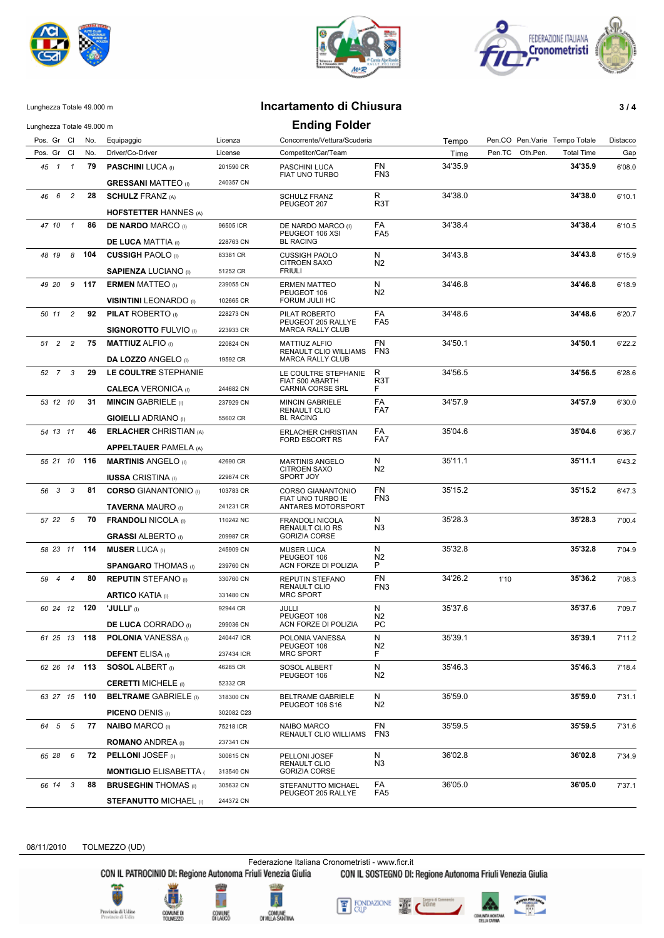





## Lunghezza Totale 49.000 m **Incartamento di Chiusura 3 / 4**

| Lunghezza Totale 49.000 m              |     |                                                            |            | <b>Ending Folder</b>                          |                           |         |                               |                   |          |
|----------------------------------------|-----|------------------------------------------------------------|------------|-----------------------------------------------|---------------------------|---------|-------------------------------|-------------------|----------|
| Pos. Gr Cl                             | No. | Equipaggio                                                 | Licenza    | Concorrente/Vettura/Scuderia                  |                           | Tempo   | Pen.CO Pen.Varie Tempo Totale |                   | Distacco |
| Pos. Gr Cl                             | No. | Driver/Co-Driver                                           | License    | Competitor/Car/Team                           |                           | Time    | Pen.TC<br>Oth.Pen.            | <b>Total Time</b> | Gap      |
| 45 1 1                                 | 79  | <b>PASCHINI LUCA (I)</b>                                   | 201590 CR  | PASCHINI LUCA                                 | FN<br>FN <sub>3</sub>     | 34'35.9 |                               | 34'35.9           | 6'08.0   |
|                                        |     | <b>GRESSANI MATTEO</b> (i)                                 | 240357 CN  | FIAT UNO TURBO                                |                           |         |                               |                   |          |
| $\overline{c}$<br>46 6                 | 28  | <b>SCHULZ FRANZ (A)</b>                                    |            | <b>SCHULZ FRANZ</b>                           | R                         | 34'38.0 |                               | 34'38.0           | 6'10.1   |
|                                        |     | <b>HOFSTETTER HANNES (A)</b>                               |            | PEUGEOT 207                                   | R3T                       |         |                               |                   |          |
| 47 10 1                                | 86  | <b>DE NARDO MARCO</b> (I)                                  | 96505 ICR  | DE NARDO MARCO (I)                            | FA                        | 34'38.4 |                               | 34'38.4           | 6'10.5   |
|                                        |     | <b>DE LUCA MATTIA</b> (I)                                  | 228763 CN  | PEUGEOT 106 XSI<br><b>BL RACING</b>           | FA <sub>5</sub>           |         |                               |                   |          |
| 48 19<br>8                             | 104 | <b>CUSSIGH PAOLO</b> (I)                                   | 83381 CR   | <b>CUSSIGH PAOLO</b>                          | N                         | 34'43.8 |                               | 34'43.8           | 6'15.9   |
|                                        |     | <b>SAPIENZA LUCIANO</b> (I)                                | 51252 CR   | <b>CITROEN SAXO</b><br><b>FRIULI</b>          | N <sub>2</sub>            |         |                               |                   |          |
| 9 117<br>49 20                         |     | <b>ERMEN MATTEO</b> (I)                                    | 239055 CN  | <b>ERMEN MATTEO</b>                           | N                         | 34'46.8 |                               | 34'46.8           | 6'18.9   |
|                                        |     | <b>VISINTINI LEONARDO</b> (I)                              | 102665 CR  | PEUGEOT 106<br>FORUM JULII HC                 | N <sub>2</sub>            |         |                               |                   |          |
| 50 11 2                                | 92  | <b>PILAT ROBERTO</b> (I)                                   | 228273 CN  | PILAT ROBERTO                                 | FA                        | 34'48.6 |                               | 34'48.6           | 6'20.7   |
|                                        |     | <b>SIGNOROTTO FULVIO</b> (I)                               | 223933 CR  | PEUGEOT 205 RALLYE<br><b>MARCA RALLY CLUB</b> | FA <sub>5</sub>           |         |                               |                   |          |
| 51 2<br>$\overline{c}$                 | 75  | <b>MATTIUZ ALFIO (I)</b>                                   | 220824 CN  | MATTIUZ ALFIO                                 | FN                        | 34'50.1 |                               | 34'50.1           | 6'22.2   |
|                                        |     |                                                            |            | RENAULT CLIO WILLIAMS                         | FN3                       |         |                               |                   |          |
|                                        |     | <b>DA LOZZO ANGELO</b> (i)<br>LE COULTRE STEPHANIE         | 19592 CR   | <b>MARCA RALLY CLUB</b>                       | R                         | 34'56.5 |                               | 34'56.5           |          |
| 52 7 3                                 | 29  |                                                            |            | LE COULTRE STEPHANIE<br>FIAT 500 ABARTH       | R <sub>3</sub> T          |         |                               |                   | 6'28.6   |
|                                        |     | <b>CALECA VERONICA (I)</b>                                 | 244682 CN  | CARNIA CORSE SRL                              | F.                        |         |                               |                   |          |
| 53 12 10                               | 31  | <b>MINCIN GABRIELE</b> (I)                                 | 237929 CN  | <b>MINCIN GABRIELE</b><br>RENAULT CLIO        | FA<br>FA7                 | 34'57.9 |                               | 34'57.9           | 6'30.0   |
|                                        |     | <b>GIOIELLI ADRIANO</b> (I)                                | 55602 CR   | <b>BL RACING</b>                              |                           |         |                               |                   |          |
| 54 13 11                               | 46  | <b>ERLACHER CHRISTIAN (A)</b>                              |            | <b>ERLACHER CHRISTIAN</b><br>FORD ESCORT RS   | FA<br>FA7                 | 35'04.6 |                               | 35'04.6           | 6'36.7   |
|                                        |     | <b>APPELTAUER PAMELA (A)</b>                               |            |                                               |                           |         |                               |                   |          |
| 55 21 10 116                           |     | <b>MARTINIS ANGELO</b> (I)                                 | 42690 CR   | <b>MARTINIS ANGELO</b><br>CITROEN SAXO        | N<br>N2                   | 35'11.1 |                               | 35'11.1           | 6'43.2   |
|                                        |     | <b>IUSSA CRISTINA</b> (I)                                  | 229874 CR  | SPORT JOY                                     |                           |         |                               |                   |          |
| 56 3<br>3                              | 81  | <b>CORSO GIANANTONIO</b> (I)                               | 103783 CR  | CORSO GIANANTONIO                             | FN<br>FN <sub>3</sub>     | 35'15.2 |                               | 35'15.2           | 6'47.3   |
|                                        |     | <b>TAVERNA MAURO</b> (I)                                   | 241231 CR  | FIAT UNO TURBO IE<br>ANTARES MOTORSPORT       |                           |         |                               |                   |          |
| 57 22 5                                | 70  | <b>FRANDOLI NICOLA (I)</b>                                 | 110242 NC  | FRANDOLI NICOLA                               | N                         | 35'28.3 |                               | 35'28.3           | 7'00.4   |
|                                        |     | <b>GRASSI ALBERTO</b> (I)                                  | 209987 CR  | RENAULT CLIO RS<br><b>GORIZIA CORSE</b>       | N <sub>3</sub>            |         |                               |                   |          |
| 58 23 11 114                           |     | <b>MUSER LUCA</b> (I)                                      | 245909 CN  | <b>MUSER LUCA</b>                             | N                         | 35'32.8 |                               | 35'32.8           | 7'04.9   |
|                                        |     | <b>SPANGARO THOMAS (I)</b>                                 | 239760 CN  | PEUGEOT 106<br>ACN FORZE DI POLIZIA           | N <sub>2</sub><br>P       |         |                               |                   |          |
| 59<br>$\overline{4}$<br>$\overline{4}$ | 80  | <b>REPUTIN</b> STEFANO (I)                                 | 330760 CN  | REPUTIN STEFANO                               | FN                        | 34'26.2 | 1'10                          | 35'36.2           | 7'08.3   |
|                                        |     | <b>ARTICO KATIA</b> (i)                                    | 331480 CN  | <b>RENAULT CLIO</b><br><b>MRC SPORT</b>       | FN <sub>3</sub>           |         |                               |                   |          |
| 60 24 12 120                           |     | <b>'JULLI'</b> (I)                                         | 92944 CR   | JULLI<br>PEUGEOT 106<br>ACN FORZE DI POLIZIA  | N<br>N <sub>2</sub><br>PС | 35'37.6 |                               | 35'37.6           | 7'09.7   |
|                                        |     | <b>DE LUCA CORRADO</b> (I)                                 | 299036 CN  |                                               |                           |         |                               |                   |          |
| 61 25 13 118                           |     | <b>POLONIA</b> VANESSA (I)                                 | 240447 ICR | POLONIA VANESSA                               | N<br>N <sub>2</sub><br>F  | 35'39.1 |                               | 35'39.1           | 7'11.2   |
|                                        |     | <b>DEFENT ELISA (I)</b>                                    | 237434 ICR | PEUGEOT 106<br><b>MRC SPORT</b>               |                           |         |                               |                   |          |
| 62 26 14 113                           |     | <b>SOSOL ALBERT</b> (i)                                    | 46285 CR   | SOSOL ALBERT<br>PEUGEOT 106                   | N                         | 35'46.3 |                               | 35'46.3           | 7'18.4   |
|                                        |     |                                                            |            |                                               | N <sub>2</sub>            |         |                               |                   |          |
| 63 27 15 110                           |     | <b>CERETTI MICHELE</b> (I)<br><b>BELTRAME GABRIELE (I)</b> | 52332 CR   | <b>BELTRAME GABRIELE</b><br>PEUGEOT 106 S16   | N<br>N2                   | 35'59.0 |                               | 35'59.0           |          |
|                                        |     |                                                            | 318300 CN  |                                               |                           |         |                               |                   | 7'31.1   |
|                                        |     | <b>PICENO DENIS (I)</b>                                    | 302082 C23 |                                               |                           |         |                               |                   |          |
| 64 5<br>5                              | 77  | <b>NAIBO MARCO (I)</b>                                     | 75218 ICR  | NAIBO MARCO<br>RENAULT CLIO WILLIAMS          | FN<br>FN3                 | 35'59.5 |                               | 35'59.5           | 7'31.6   |
|                                        |     | <b>ROMANO</b> ANDREA (I)                                   | 237341 CN  |                                               |                           |         |                               |                   |          |
| 65 28 6                                | 72  | <b>PELLONI JOSEF</b> (I)                                   | 300615 CN  | PELLONI JOSEF<br>RENAULT CLIO                 | N<br>N3                   | 36'02.8 |                               | 36'02.8           | 7'34.9   |
|                                        |     | <b>MONTIGLIO ELISABETTA (</b>                              | 313540 CN  | <b>GORIZIA CORSE</b>                          |                           |         |                               |                   |          |
| 66 14 3                                | 88  | <b>BRUSEGHIN THOMAS</b> (I)                                | 305632 CN  | STEFANUTTO MICHAEL<br>PEUGEOT 205 RALLYE      | FA<br>FA <sub>5</sub>     | 36'05.0 |                               | 36'05.0           | 7'37.1   |
|                                        |     | <b>STEFANUTTO MICHAEL (I)</b>                              | 244372 CN  |                                               |                           |         |                               |                   |          |

08/11/2010 TOLMEZZO (UD)

Federazione Italiana Cronometristi - www.ficr.it<br>CON IL PATROCINIO DI: Regione Autonoma Friuli Venezia Giulia CON IL SOSTEGNO DI: Regione Autonoma Friuli Venezia Giulia

Provincia di Udine<br>Provincie di Udin



e.

ĥ.

Ā COMUME<br>DIVILLA SANTINA

**STARS** 





4